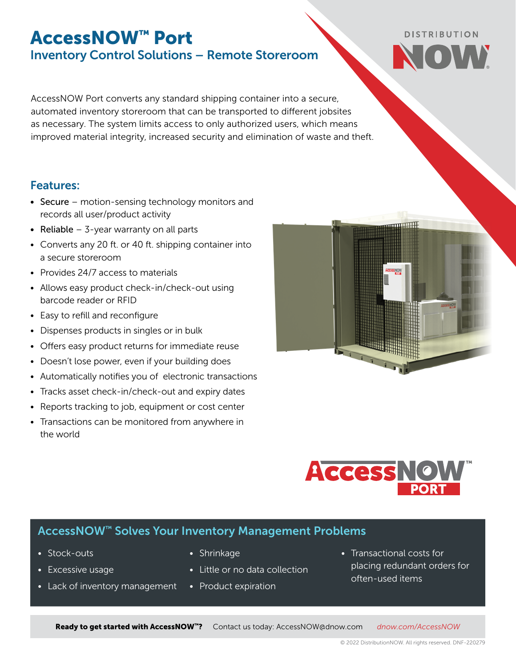## AccessNOW™ Port Inventory Control Solutions – Remote Storeroom

AccessNOW Port converts any standard shipping container into a secure, automated inventory storeroom that can be transported to different jobsites as necessary. The system limits access to only authorized users, which means improved material integrity, increased security and elimination of waste and theft.

## Features:

- Secure motion-sensing technology monitors and records all user/product activity
- Reliable  $-$  3-year warranty on all parts
- Converts any 20 ft. or 40 ft. shipping container into a secure storeroom
- Provides 24/7 access to materials
- Allows easy product check-in/check-out using barcode reader or RFID
- Easy to refill and reconfigure
- Dispenses products in singles or in bulk
- Offers easy product returns for immediate reuse
- Doesn't lose power, even if your building does
- Automatically notifies you of electronic transactions
- Tracks asset check-in/check-out and expiry dates
- Reports tracking to job, equipment or cost center
- Transactions can be monitored from anywhere in the world



**DISTRIBUTION** 



## AccessNOW™ Solves Your Inventory Management Problems

- Stock-outs
- Excessive usage
- Lack of inventory management
- Shrinkage
- Little or no data collection
- Product expiration
- Transactional costs for placing redundant orders for often-used items

Ready to get started with AccessNOW™? Contact us today: [AccessNOW@dnow.com](mailto:AccessNOW%40dnow.com?subject=AccessNOW%20Inquiry) *[dnow.com/](https://www.dnow.com/supply-chain-services/inventory-control)AccessNOW*